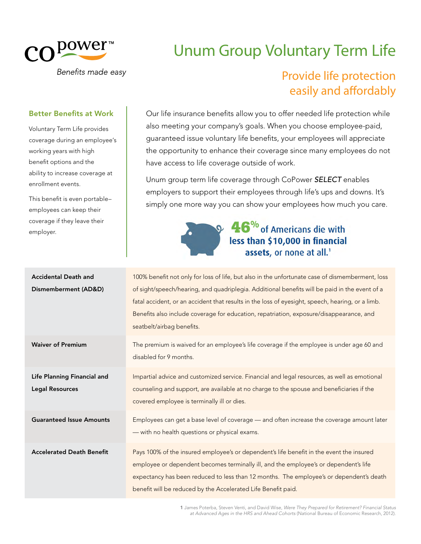

Benefits made easy

# Unum Group Voluntary Term Life

## Provide life protection easily and affordably

#### Better Benefits at Work

Voluntary Term Life provides coverage during an employee's working years with high benefit options and the ability to increase coverage at enrollment events.

This benefit is even portable– employees can keep their coverage if they leave their employer.

Our life insurance benefits allow you to offer needed life protection while also meeting your company's goals. When you choose employee-paid, guaranteed issue voluntary life benefits, your employees will appreciate the opportunity to enhance their coverage since many employees do not have access to life coverage outside of work.

Unum group term life coverage through CoPower *SELECT* enables employers to support their employees through life's ups and downs. It's simply one more way you can show your employees how much you care.

## $\bullet$  46% of Americans die with less than \$10,000 in financial assets, or none at all.<sup>1</sup>

| <b>Accidental Death and</b><br>Dismemberment (AD&D)   | 100% benefit not only for loss of life, but also in the unfortunate case of dismemberment, loss<br>of sight/speech/hearing, and quadriplegia. Additional benefits will be paid in the event of a<br>fatal accident, or an accident that results in the loss of eyesight, speech, hearing, or a limb.<br>Benefits also include coverage for education, repatriation, exposure/disappearance, and<br>seatbelt/airbag benefits. |
|-------------------------------------------------------|------------------------------------------------------------------------------------------------------------------------------------------------------------------------------------------------------------------------------------------------------------------------------------------------------------------------------------------------------------------------------------------------------------------------------|
| <b>Waiver of Premium</b>                              | The premium is waived for an employee's life coverage if the employee is under age 60 and<br>disabled for 9 months.                                                                                                                                                                                                                                                                                                          |
| Life Planning Financial and<br><b>Legal Resources</b> | Impartial advice and customized service. Financial and legal resources, as well as emotional<br>counseling and support, are available at no charge to the spouse and beneficiaries if the<br>covered employee is terminally ill or dies.                                                                                                                                                                                     |
| <b>Guaranteed Issue Amounts</b>                       | Employees can get a base level of coverage - and often increase the coverage amount later<br>- with no health questions or physical exams.                                                                                                                                                                                                                                                                                   |
| <b>Accelerated Death Benefit</b>                      | Pays 100% of the insured employee's or dependent's life benefit in the event the insured<br>employee or dependent becomes terminally ill, and the employee's or dependent's life<br>expectancy has been reduced to less than 12 months. The employee's or dependent's death<br>benefit will be reduced by the Accelerated Life Benefit paid.                                                                                 |

1 James Poterba, Steven Venti, and David Wise, *Were They Prepared for Retirement? Financial Status at Advanced Ages in the HRS and Ahead Cohorts* (National Bureau of Economic Research, 2012).